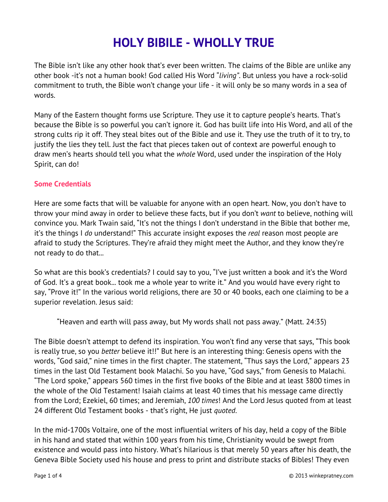# **HOLY BIBILE - WHOLLY TRUE**

The Bible isn't like any other hook that's ever been written. The claims of the Bible are unlike any other book -it's not a human book! God called His Word "*living"*. But unless you have a rock-solid commitment to truth, the Bible won't change your life - it will only be so many words in a sea of words.

Many of the Eastern thought forms use Scripture. They use it to capture people's hearts. That's because the Bible is so powerful you can't ignore it. God has built life into His Word, and all of the strong cults rip it off. They steal bites out of the Bible and use it. They use the truth of it to try, to justify the lies they tell. Just the fact that pieces taken out of context are powerful enough to draw men's hearts should tell you what the *whole* Word, used under the inspiration of the Holy Spirit, can do!

#### **Some Credentials**

Here are some facts that will be valuable for anyone with an open heart. Now, you don't have to throw your mind away in order to believe these facts, but if you don't *want* to believe, nothing will convince you. Mark Twain said, "It's not the things I don't understand in the Bible that bother me, it's the things I *do* understand!" This accurate insight exposes the *real* reason most people are afraid to study the Scriptures. They're afraid they might meet the Author, and they know they're not ready to do that...

So what are this book's credentials? I could say to you, "I've just written a book and it's the Word of God. It's a great book... took me a whole year to write it." And you would have every right to say, "Prove it!" In the various world religions, there are 30 or 40 books, each one claiming to be a superior revelation. Jesus said:

"Heaven and earth will pass away, but My words shall not pass away." (Matt. 24:35)

The Bible doesn't attempt to defend its inspiration. You won't find any verse that says, "This book is really true, so you *better* believe it!!" But here is an interesting thing: Genesis opens with the words, "God said," nine times in the first chapter. The statement, "Thus says the Lord," appears 23 times in the last Old Testament book Malachi. So you have, "God says," from Genesis to Malachi. "The Lord spoke," appears 560 times in the first five books of the Bible and at least 3800 times in the whole of the Old Testament! Isaiah claims at least 40 times that his message came directly from the Lord; Ezekiel, 60 times; and Jeremiah, *100 times*! And the Lord Jesus quoted from at least 24 different Old Testament books - that's right, He just *quoted*.

In the mid-1700s Voltaire, one of the most influential writers of his day, held a copy of the Bible in his hand and stated that within 100 years from his time, Christianity would be swept from existence and would pass into history. What's hilarious is that merely 50 years after his death, the Geneva Bible Society used his house and press to print and distribute stacks of Bibles! They even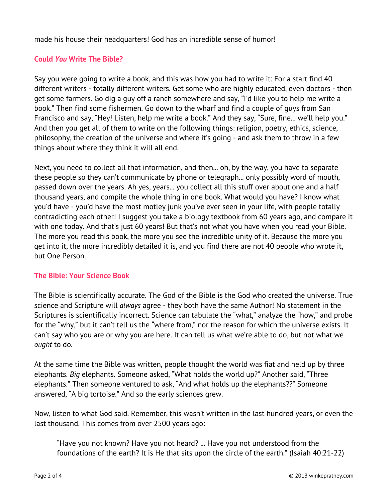made his house their headquarters! God has an incredible sense of humor!

## **Could** *You* **Write The Bible?**

Say you were going to write a book, and this was how you had to write it: For a start find 40 different writers - totally different writers. Get some who are highly educated, even doctors - then get some farmers. Go dig a guy off a ranch somewhere and say, "I'd like you to help me write a book." Then find some fishermen. Go down to the wharf and find a couple of guys from San Francisco and say, "Hey! Listen, help me write a book." And they say, "Sure, fine... we'll help you." And then you get all of them to write on the following things: religion, poetry, ethics, science, philosophy, the creation of the universe and where it's going - and ask them to throw in a few things about where they think it will all end.

Next, you need to collect all that information, and then... oh, by the way, you have to separate these people so they can't communicate by phone or telegraph... only possibly word of mouth, passed down over the years. Ah yes, years... you collect all this stuff over about one and a half thousand years, and compile the whole thing in one book. What would you have? I know what you'd have - you'd have the most motley junk you've ever seen in your life, with people totally contradicting each other! I suggest you take a biology textbook from 60 years ago, and compare it with one today. And that's just 60 years! But that's not what you have when you read your Bible. The more you read this book, the more you see the incredible unity of it. Because the more you get into it, the more incredibly detailed it is, and you find there are not 40 people who wrote it, but One Person.

### **The Bible: Your Science Book**

The Bible is scientifically accurate. The God of the Bible is the God who created the universe. True science and Scripture will *always* agree - they both have the same Author! No statement in the Scriptures is scientifically incorrect. Science can tabulate the "what," analyze the "how," and probe for the "why," but it can't tell us the "where from," nor the reason for which the universe exists. It can't say who you are or why you are here. It can tell us what we're able to do, but not what we *ought* to do.

At the same time the Bible was written, people thought the world was fiat and held up by three elephants. *Big* elephants. Someone asked, "What holds the world up?" Another said, "Three elephants." Then someone ventured to ask, "And what holds up the elephants??" Someone answered, "A big tortoise." And so the early sciences grew.

Now, listen to what God said. Remember, this wasn't written in the last hundred years, or even the last thousand. This comes from over 2500 years ago:

"Have you not known? Have you not heard? ... Have you not understood from the foundations of the earth? It is He that sits upon the circle of the earth." (Isaiah 40:21-22)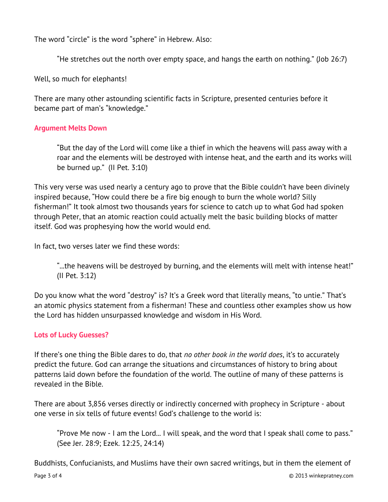The word "circle" is the word "sphere" in Hebrew. Also:

"He stretches out the north over empty space, and hangs the earth on nothing." (Job 26:7)

Well, so much for elephants!

There are many other astounding scientific facts in Scripture, presented centuries before it became part of man's "knowledge."

## **Argument Melts Down**

"But the day of the Lord will come like a thief in which the heavens will pass away with a roar and the elements will be destroyed with intense heat, and the earth and its works will be burned up." (II Pet. 3:10)

This very verse was used nearly a century ago to prove that the Bible couldn't have been divinely inspired because, "How could there be a fire big enough to burn the whole world? Silly fisherman!" It took almost two thousands years for science to catch up to what God had spoken through Peter, that an atomic reaction could actually melt the basic building blocks of matter itself. God was prophesying how the world would end.

In fact, two verses later we find these words:

"...the heavens will be destroyed by burning, and the elements will melt with intense heat!" (II Pet. 3:12)

Do you know what the word "destroy" is? It's a Greek word that literally means, "to untie." That's an atomic physics statement from a fisherman! These and countless other examples show us how the Lord has hidden unsurpassed knowledge and wisdom in His Word.

## **Lots of Lucky Guesses?**

If there's one thing the Bible dares to do, that *no other book in the world does*, it's to accurately predict the future. God can arrange the situations and circumstances of history to bring about patterns laid down before the foundation of the world. The outline of many of these patterns is revealed in the Bible.

There are about 3,856 verses directly or indirectly concerned with prophecy in Scripture - about one verse in six tells of future events! God's challenge to the world is:

"Prove Me now - I am the Lord... I will speak, and the word that I speak shall come to pass." (See Jer. 28:9; Ezek. 12:25, 24:14)

Buddhists, Confucianists, and Muslims have their own sacred writings, but in them the element of